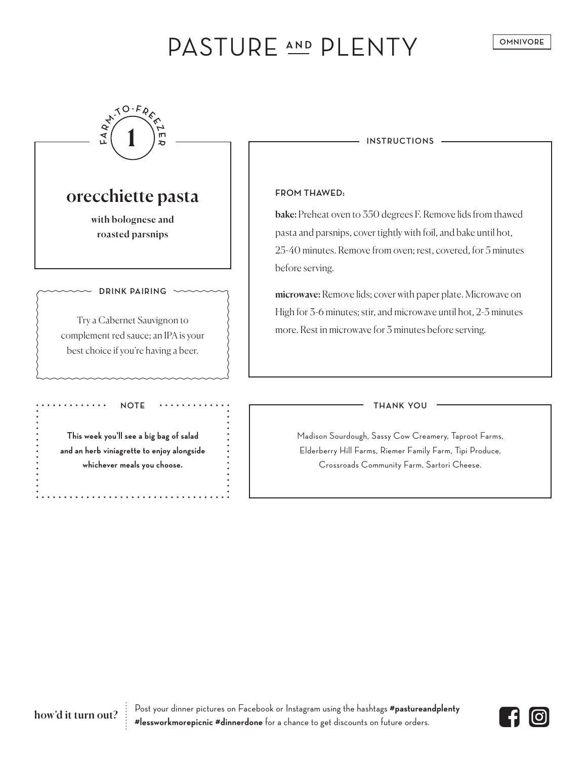# PASTURE AND PLENTY



**This week you'll see a big bag of salad and an herb viniagrette to enjoy alongside whichever meals you choose.**

NOTE **THANK YOU** 

Madison Sourdough, Sassy Cow Creamery, Taproot Farms, Elderberry Hill Farms, Riemer Family Farm, Tipi Produce, Crossroads Community Farm, Sartori Cheese.